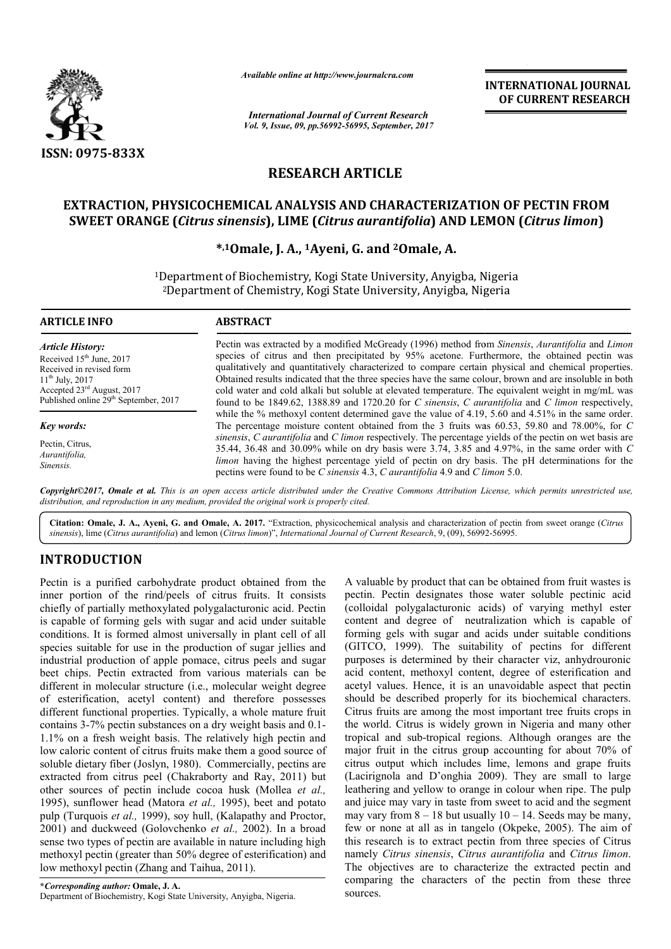

*Available online at http://www.journal http://www.journalcra.com*

*International Journal of Current Research Vol. 9, Issue, 09, pp.56992-56995, September, 2017* **INTERNATIONAL JOURNAL OF CURRENT RESEARCH** 

# **RESEARCH ARTICLE**

### **EXTRACTION, PHYSICOCHEMICAL ANALYSIS AND CHARACTERIZATION OF PECTIN FROM EXTRACTION, PHYSICOCHEMICAL CHARACTERIZATION OF SWEET ORANGE (***Citrus sinensis* **), LIME (***Citrus aurantifolia***) AND LEMON (***Citrus limon***)**

### **\*,1Omale, J. A Omale, A., 1Ayeni, G. and 2Omale, A.**

1Department of Biochemistry, Kogi State University, Anyigba, Nigeria 2Department of Chemistry, Kogi State University, Anyigba, Nigeria

| <b>ARTICLE INFO</b>                                                                                                                                                                                      | <b>ABSTRACT</b>                                                                                                                                                                                                                                                                                                                                                                                                                                                                                                                                                                                                                                    |  |  |
|----------------------------------------------------------------------------------------------------------------------------------------------------------------------------------------------------------|----------------------------------------------------------------------------------------------------------------------------------------------------------------------------------------------------------------------------------------------------------------------------------------------------------------------------------------------------------------------------------------------------------------------------------------------------------------------------------------------------------------------------------------------------------------------------------------------------------------------------------------------------|--|--|
| <b>Article History:</b><br>Received $15th$ June, 2017<br>Received in revised form<br>$11^{th}$ July, 2017<br>Accepted 23 <sup>rd</sup> August, 2017<br>Published online 29 <sup>th</sup> September, 2017 | Pectin was extracted by a modified McGready (1996) method from <i>Sinensis</i> , <i>Aurantifolia</i> and <i>Limon</i><br>species of citrus and then precipitated by 95% acetone. Furthermore, the obtained pectin was<br>qualitatively and quantitatively characterized to compare certain physical and chemical properties.<br>Obtained results indicated that the three species have the same colour, brown and are insoluble in both<br>cold water and cold alkali but soluble at elevated temperature. The equivalent weight in mg/mL was<br>found to be 1849.62, 1388.89 and 1720.20 for C sinensis, C aurantifolia and C limon respectively, |  |  |
| Key words:                                                                                                                                                                                               | while the % methoxyl content determined gave the value of 4.19, 5.60 and 4.51% in the same order.<br>The percentage moisture content obtained from the 3 fruits was 60.53, 59.80 and 78.00%, for C                                                                                                                                                                                                                                                                                                                                                                                                                                                 |  |  |
| Pectin, Citrus,<br>Aurantifolia,<br>Sinensis.                                                                                                                                                            | sinensis, C aurantifolia and C limon respectively. The percentage yields of the pectin on wet basis are<br>35.44, 36.48 and 30.09% while on dry basis were 3.74, 3.85 and 4.97%, in the same order with C<br>limon having the highest percentage yield of pectin on dry basis. The pH determinations for the<br>pectins were found to be C sinensis 4.3, C aurantifolia 4.9 and C limon 5.0.                                                                                                                                                                                                                                                       |  |  |

*Copyright©2017, Omale et al. This is an open access article distributed under the Creative Commons Att Attribution License, which ribution which permits unrestricted use, distribution, and reproduction in any medium, provided the original work is properly cited.*

Citation: Omale, J. A., Ayeni, G. and Omale, A. 2017. "Extraction, physicochemical analysis and characterization of pectin from sweet orange (Citrus *sinensis*), lime (*Citrus aurantifolia*) and lemon (*Citrus limon* )", *International Journal of Current Research*, 9, (09), 56992 56992-56995.

## **INTRODUCTION**

Pectin is a purified carbohydrate product obtained from the inner portion of the rind/peels of citrus fruits. It consists chiefly of partially methoxylated polygalacturonic acid. Pectin is capable of forming gels with sugar and acid under suitable conditions. It is formed almost universally in plant cell of all species suitable for use in the production of sugar jellies and industrial production of apple pomace, citrus peels and sugar beet chips. Pectin extracted from various materials can be different in molecular structure (i.e., molecular weight degree of esterification, acetyl content) and therefore possesses different functional properties. Typically, a whole mature fruit contains 3-7% pectin substances on a dry weight basis and 0.1 1.1% on a fresh weight basis. The relatively high pectin and low caloric content of citrus fruits make them a good source of soluble dietary fiber (Joslyn, 1980). Commercially, pectins are extracted from citrus peel (Chakraborty and Ray, 2011) but other sources of pectin include cocoa husk (Mollea et al., 1995), sunflower head (Matora *et al.,* 1995), beet and potato pulp (Turquois *et al.,* 1999), soy hull, (Kalapathy and Proctor, 2001) and duckweed (Golovchenko *et al.,* 2002). In a broad sense two types of pectin are available in nature including high methoxyl pectin (greater than 50% degree of esterification) and low methoxyl pectin (Zhang and Taihua, 2011). ns. It is formed almost universally in plant cell of all<br>suitable for use in the production of sugar jellies and<br>al production of apple pomace, citrus peels and sugar<br>ips. Pectin extracted from various materials can be<br>t i ht basis. The relatively high pectin and<br>citrus fruits make them a good source of<br>oslyn, 1980). Commercially, pectins are<br>peel (Chakraborty and Ray, 2011) but<br>tin include cocoa husk (Mollea *et al.*,

luct obtained from the A valuable by product that can be obtained from fruit wastes is trues fruits. It consists pectin. Pectin designates those water soluble pectinic acid under suitable content and degree of neutralizat pectin. Pectin designates those water soluble pectinic acid (colloidal polygalacturonic acids) of varying methyl ester content and degree of neutralization which is capable of forming gels with sugar and acids under suitable conditions (GITCO, 1999). The suitability of pectins for different purposes is determined by their character viz, anhydrouronic acid content, methoxyl content, degree of esterification and acetyl values. Hence, it is an unavoidable aspect that pectin should be described properly for its biochemical characters. Citrus fruits are among the most important tree fruits crops in the world. Citrus is widely grown in Nigeria and many other should be described properly for its biochemical characters.<br>Citrus fruits are among the most important tree fruits crops in<br>the world. Citrus is widely grown in Nigeria and many other<br>tropical and sub-tropical regions. Al major fruit in the citrus group accounting for about 70% of citrus output which includes lime, lemons and grape fruits (Lacirignola and D'onghia 2009). They are small to large leathering and yellow to orange in colour when ripe. The pulp and juice may vary in taste from sweet to acid and the segment may vary from  $8 - 18$  but usually  $10 - 14$ . Seeds may be many, few or none at all as in tangelo (Okpeke, 2005). The aim of this research is to extract pectin from three species of Citrus namely *Citrus sinensis*, *Citrus aurantifolia Citrus aurantifolia* and *Citrus limon*. The objectives are to characterize the extracted pectin and comparing the characters of the pectin from these three sources. A valuable by product that can be obtained from fruit wastes is pectin. Pectin designates those water soluble pectinic acid (colloidal polygalacturonic acids) of varying methyl ester content and degree of neutralization wh in the citrus group accounting for about 70% of<br>the which includes lime, lemons and grape fruits<br>a and D'onghia 2009). They are small to large<br>many be many be many be many,<br>on  $8 - 18$  but usually  $10 - 14$ . Seeds may be ma **INTERNATIONAL JOURNAL**<br> **OF CURRENT RESEARCH**<br> **OF CURRENT RESEARCH**<br> **OF CURRENT RESEARCH**<br> **EMON (Citrus limon)**<br> **CON OF PECTIN FROM**<br> **EMON (Citrus limon)**<br> **CON OF PECTIN FROM**<br> **CON OF PECTIN FROM**<br> **CON TEAD CON C**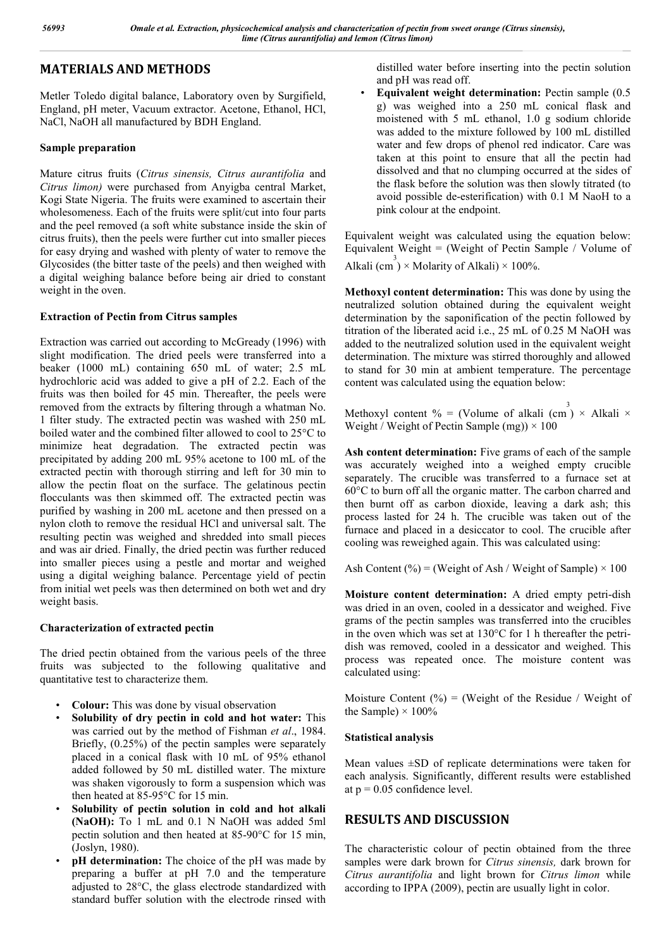# **MATERIALS AND METHODS**

Metler Toledo digital balance, Laboratory oven by Surgifield, England, pH meter, Vacuum extractor. Acetone, Ethanol, HCl, NaCl, NaOH all manufactured by BDH England.

#### **Sample preparation**

Mature citrus fruits (*Citrus sinensis, Citrus aurantifolia* and *Citrus limon)* were purchased from Anyigba central Market, Kogi State Nigeria. The fruits were examined to ascertain their wholesomeness. Each of the fruits were split/cut into four parts and the peel removed (a soft white substance inside the skin of citrus fruits), then the peels were further cut into smaller pieces for easy drying and washed with plenty of water to remove the Glycosides (the bitter taste of the peels) and then weighed with a digital weighing balance before being air dried to constant weight in the oven.

#### **Extraction of Pectin from Citrus samples**

Extraction was carried out according to McGready (1996) with slight modification. The dried peels were transferred into a beaker (1000 mL) containing 650 mL of water; 2.5 mL hydrochloric acid was added to give a pH of 2.2. Each of the fruits was then boiled for 45 min. Thereafter, the peels were removed from the extracts by filtering through a whatman No. 1 filter study. The extracted pectin was washed with 250 mL boiled water and the combined filter allowed to cool to 25°C to minimize heat degradation. The extracted pectin was precipitated by adding 200 mL 95% acetone to 100 mL of the extracted pectin with thorough stirring and left for 30 min to allow the pectin float on the surface. The gelatinous pectin flocculants was then skimmed off. The extracted pectin was purified by washing in 200 mL acetone and then pressed on a nylon cloth to remove the residual HCl and universal salt. The resulting pectin was weighed and shredded into small pieces and was air dried. Finally, the dried pectin was further reduced into smaller pieces using a pestle and mortar and weighed using a digital weighing balance. Percentage yield of pectin from initial wet peels was then determined on both wet and dry weight basis.

### **Characterization of extracted pectin**

The dried pectin obtained from the various peels of the three fruits was subjected to the following qualitative and quantitative test to characterize them.

- **Colour:** This was done by visual observation
- **Solubility of dry pectin in cold and hot water:** This was carried out by the method of Fishman *et al*., 1984. Briefly, (0.25%) of the pectin samples were separately placed in a conical flask with 10 mL of 95% ethanol added followed by 50 mL distilled water. The mixture was shaken vigorously to form a suspension which was then heated at 85-95°C for 15 min.
- **Solubility of pectin solution in cold and hot alkali (NaOH):** To 1 mL and 0.1 N NaOH was added 5ml pectin solution and then heated at 85-90°C for 15 min, (Joslyn, 1980).
- **pH** determination: The choice of the pH was made by preparing a buffer at pH 7.0 and the temperature adjusted to 28°C, the glass electrode standardized with standard buffer solution with the electrode rinsed with

distilled water before inserting into the pectin solution and pH was read off.

• **Equivalent weight determination:** Pectin sample (0.5 g) was weighed into a 250 mL conical flask and moistened with 5 mL ethanol, 1.0 g sodium chloride was added to the mixture followed by 100 mL distilled water and few drops of phenol red indicator. Care was taken at this point to ensure that all the pectin had dissolved and that no clumping occurred at the sides of the flask before the solution was then slowly titrated (to avoid possible de-esterification) with 0.1 M NaoH to a pink colour at the endpoint.

Equivalent weight was calculated using the equation below: Equivalent Weight = (Weight of Pectin Sample / Volume of Alkali (cm<sup>3</sup>) × Molarity of Alkali) × 100%.

**Methoxyl content determination:** This was done by using the neutralized solution obtained during the equivalent weight determination by the saponification of the pectin followed by titration of the liberated acid i.e., 25 mL of 0.25 M NaOH was added to the neutralized solution used in the equivalent weight determination. The mixture was stirred thoroughly and allowed to stand for 30 min at ambient temperature. The percentage content was calculated using the equation below:

Methoxyl content % = (Volume of alkali (cm<sup>3</sup>) × Alkali × Weight / Weight of Pectin Sample (mg))  $\times$  100

**Ash content determination:** Five grams of each of the sample was accurately weighed into a weighed empty crucible separately. The crucible was transferred to a furnace set at 60°C to burn off all the organic matter. The carbon charred and then burnt off as carbon dioxide, leaving a dark ash; this process lasted for 24 h. The crucible was taken out of the furnace and placed in a desiccator to cool. The crucible after cooling was reweighed again. This was calculated using:

Ash Content (%) = (Weight of Ash / Weight of Sample)  $\times$  100

**Moisture content determination:** A dried empty petri-dish was dried in an oven, cooled in a dessicator and weighed. Five grams of the pectin samples was transferred into the crucibles in the oven which was set at 130°C for 1 h thereafter the petridish was removed, cooled in a dessicator and weighed. This process was repeated once. The moisture content was calculated using:

Moisture Content  $(%) = (Weight of the Residue / Weight of)$ the Sample)  $\times$  100%

### **Statistical analysis**

Mean values ±SD of replicate determinations were taken for each analysis. Significantly, different results were established at  $p = 0.05$  confidence level.

### **RESULTS AND DISCUSSION**

The characteristic colour of pectin obtained from the three samples were dark brown for *Citrus sinensis,* dark brown for *Citrus aurantifolia* and light brown for *Citrus limon* while according to IPPA (2009), pectin are usually light in color.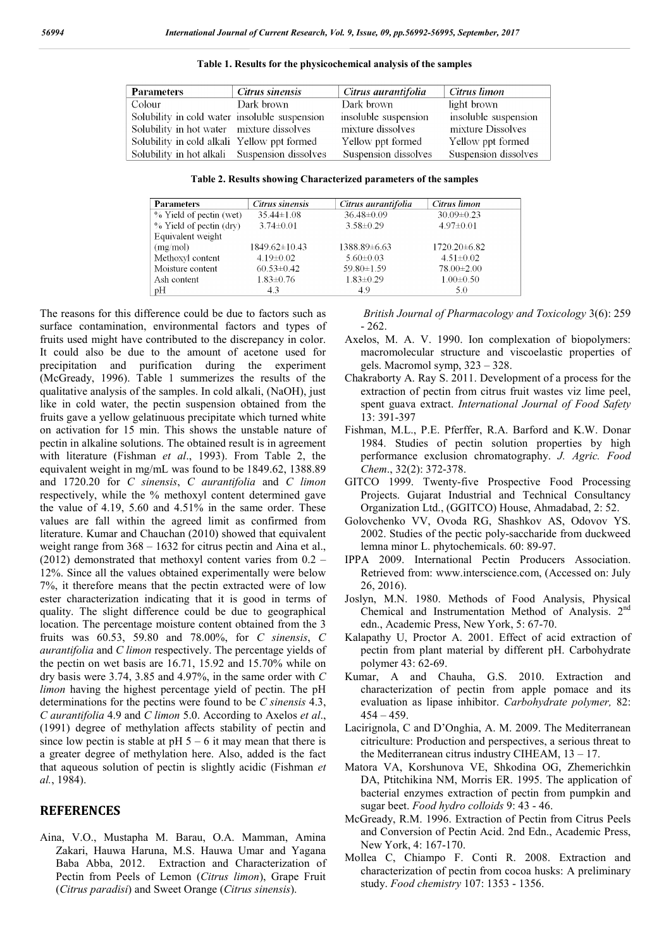| <b>Parameters</b>                             | Citrus sinensis | Citrus aurantifolia  | Citrus limon         |
|-----------------------------------------------|-----------------|----------------------|----------------------|
| Colour                                        | Dark brown      | Dark brown           | light brown          |
| Solubility in cold water insoluble suspension |                 | insoluble suspension | insoluble suspension |
| Solubility in hot water mixture dissolves     |                 | mixture dissolves    | mixture Dissolves    |
| Solubility in cold alkali Yellow ppt formed   |                 | Yellow ppt formed    | Yellow ppt formed    |
| Solubility in hot alkali Suspension dissolves |                 | Suspension dissolves | Suspension dissolves |

**Table 1. Results for the physicochemical analysis of the samples**

**Table 2. Results showing Characterized parameters of the samples**

| <b>Parameters</b>       | Citrus sinensis     | Citrus aurantifolia | Citrus limon      |
|-------------------------|---------------------|---------------------|-------------------|
| % Yield of pectin (wet) | $35.44 \pm 1.08$    | $36.48 \pm 0.09$    | $30.09 \pm 0.23$  |
| % Yield of pectin (dry) | $3.74 \pm 0.01$     | $3.58 \pm 0.29$     | $4.97\pm0.01$     |
| Equivalent weight       |                     |                     |                   |
| (mg/mol)                | $1849.62 \pm 10.43$ | 1388.89±6.63        | $1720.20\pm 6.82$ |
| Methoxyl content        | $4.19\pm0.02$       | $5.60 \pm 0.03$     | $4.51 \pm 0.02$   |
| Moisture content        | $60.53 \pm 0.42$    | 59.80±1.59          | $78.00 \pm 2.00$  |
| Ash content             | $1.83 \pm 0.76$     | $1.83 \pm 0.29$     | $1.00 \pm 0.50$   |
| pH                      | 4.3                 | 4.9                 | 5.0               |

The reasons for this difference could be due to factors such as surface contamination, environmental factors and types of fruits used might have contributed to the discrepancy in color. It could also be due to the amount of acetone used for precipitation and purification during the experiment (McGready, 1996). Table 1 summerizes the results of the qualitative analysis of the samples. In cold alkali, (NaOH), just like in cold water, the pectin suspension obtained from the fruits gave a yellow gelatinuous precipitate which turned white on activation for 15 min. This shows the unstable nature of pectin in alkaline solutions. The obtained result is in agreement with literature (Fishman *et al*., 1993). From Table 2, the equivalent weight in mg/mL was found to be 1849.62, 1388.89 and 1720.20 for *C sinensis*, *C aurantifolia* and *C limon* respectively, while the % methoxyl content determined gave the value of 4.19, 5.60 and 4.51% in the same order. These values are fall within the agreed limit as confirmed from literature. Kumar and Chauchan (2010) showed that equivalent weight range from  $368 - 1632$  for citrus pectin and Aina et al., (2012) demonstrated that methoxyl content varies from 0.2 – 12%. Since all the values obtained experimentally were below 7%, it therefore means that the pectin extracted were of low ester characterization indicating that it is good in terms of quality. The slight difference could be due to geographical location. The percentage moisture content obtained from the 3 fruits was 60.53, 59.80 and 78.00%, for *C sinensis*, *C aurantifolia* and *C limon* respectively. The percentage yields of the pectin on wet basis are 16.71, 15.92 and 15.70% while on dry basis were 3.74, 3.85 and 4.97%, in the same order with *C limon* having the highest percentage yield of pectin. The pH determinations for the pectins were found to be *C sinensis* 4.3, *C aurantifolia* 4.9 and *C limon* 5.0. According to Axelos *et al*., (1991) degree of methylation affects stability of pectin and since low pectin is stable at pH  $5 - 6$  it may mean that there is a greater degree of methylation here. Also, added is the fact that aqueous solution of pectin is slightly acidic (Fishman *et al.*, 1984).

#### **REFERENCES**

Aina, V.O., Mustapha M. Barau, O.A. Mamman, Amina Zakari, Hauwa Haruna, M.S. Hauwa Umar and Yagana Baba Abba, 2012. Extraction and Characterization of Pectin from Peels of Lemon (*Citrus limon*), Grape Fruit (*Citrus paradisi*) and Sweet Orange (*Citrus sinensis*).

*British Journal of Pharmacology and Toxicology* 3(6): 259 - 262.

- Axelos, M. A. V. 1990. Ion complexation of biopolymers: macromolecular structure and viscoelastic properties of gels. Macromol symp, 323 – 328.
- Chakraborty A. Ray S. 2011. Development of a process for the extraction of pectin from citrus fruit wastes viz lime peel, spent guava extract. *International Journal of Food Safety* 13: 391-397
- Fishman, M.L., P.E. Pferffer, R.A. Barford and K.W. Donar 1984. Studies of pectin solution properties by high performance exclusion chromatography. *J. Agric. Food Chem*., 32(2): 372-378.
- GITCO 1999. Twenty-five Prospective Food Processing Projects. Gujarat Industrial and Technical Consultancy Organization Ltd., (GGITCO) House, Ahmadabad, 2: 52.
- Golovchenko VV, Ovoda RG, Shashkov AS, Odovov YS. 2002. Studies of the pectic poly-saccharide from duckweed lemna minor L. phytochemicals. 60: 89-97.
- IPPA 2009. International Pectin Producers Association. Retrieved from: www.interscience.com, (Accessed on: July 26, 2016).
- Joslyn, M.N. 1980. Methods of Food Analysis, Physical Chemical and Instrumentation Method of Analysis. 2nd edn., Academic Press, New York, 5: 67-70.
- Kalapathy U, Proctor A. 2001. Effect of acid extraction of pectin from plant material by different pH. Carbohydrate polymer 43: 62-69.
- Kumar, A and Chauha, G.S. 2010. Extraction and characterization of pectin from apple pomace and its evaluation as lipase inhibitor. *Carbohydrate polymer,* 82:  $454 - 459$ .
- Lacirignola, C and D'Onghia, A. M. 2009. The Mediterranean citriculture: Production and perspectives, a serious threat to the Mediterranean citrus industry CIHEAM, 13 – 17.
- Matora VA, Korshunova VE, Shkodina OG, Zhemerichkin DA, Ptitchikina NM, Morris ER. 1995. The application of bacterial enzymes extraction of pectin from pumpkin and sugar beet. *Food hydro colloids* 9: 43 - 46.
- McGready, R.M. 1996. Extraction of Pectin from Citrus Peels and Conversion of Pectin Acid. 2nd Edn., Academic Press, New York, 4: 167-170.
- Mollea C, Chiampo F. Conti R. 2008. Extraction and characterization of pectin from cocoa husks: A preliminary study. *Food chemistry* 107: 1353 - 1356.